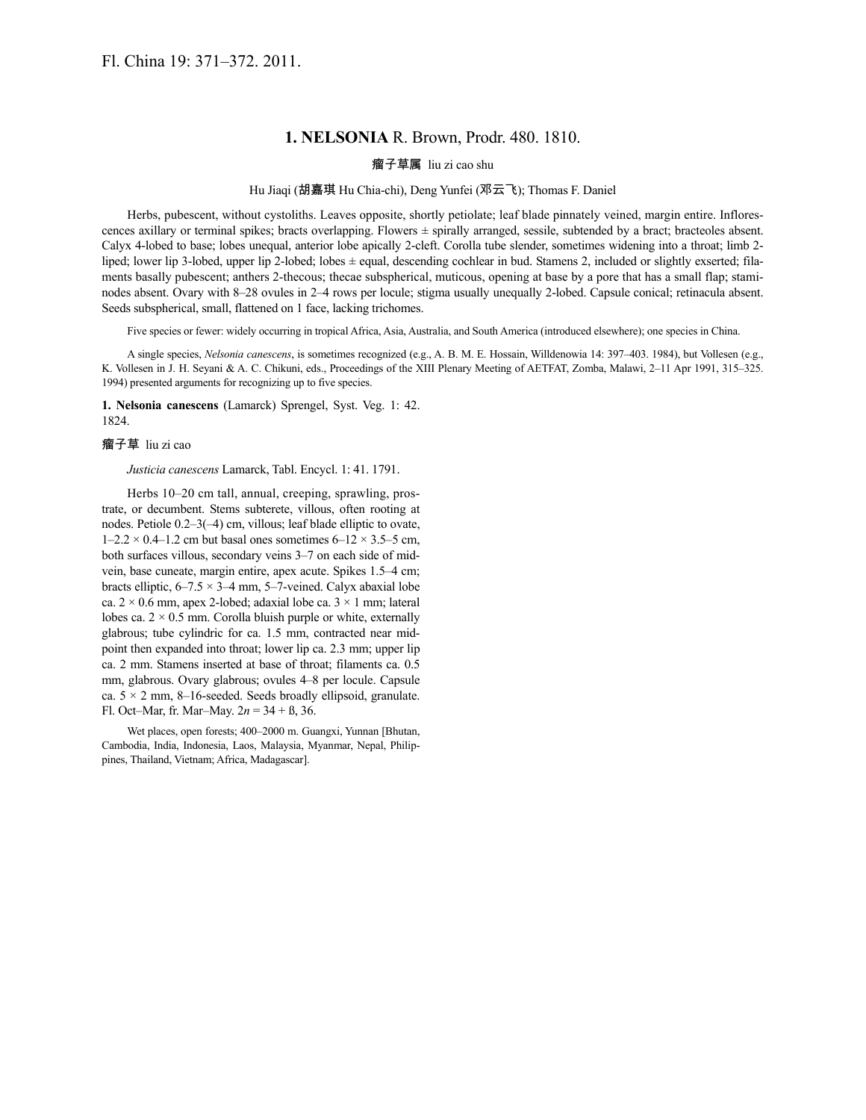## **1. NELSONIA** R. Brown, Prodr. 480. 1810.

## 瘤子草属 liu zi cao shu

## Hu Jiaqi (胡嘉琪 Hu Chia-chi), Deng Yunfei (邓云飞); Thomas F. Daniel

Herbs, pubescent, without cystoliths. Leaves opposite, shortly petiolate; leaf blade pinnately veined, margin entire. Inflorescences axillary or terminal spikes; bracts overlapping. Flowers ± spirally arranged, sessile, subtended by a bract; bracteoles absent. Calyx 4-lobed to base; lobes unequal, anterior lobe apically 2-cleft. Corolla tube slender, sometimes widening into a throat; limb 2 liped; lower lip 3-lobed, upper lip 2-lobed; lobes  $\pm$  equal, descending cochlear in bud. Stamens 2, included or slightly exserted; filaments basally pubescent; anthers 2-thecous; thecae subspherical, muticous, opening at base by a pore that has a small flap; staminodes absent. Ovary with 8–28 ovules in 2–4 rows per locule; stigma usually unequally 2-lobed. Capsule conical; retinacula absent. Seeds subspherical, small, flattened on 1 face, lacking trichomes.

Five species or fewer: widely occurring in tropical Africa, Asia, Australia, and South America (introduced elsewhere); one species in China.

A single species, *Nelsonia canescens*, is sometimes recognized (e.g., A. B. M. E. Hossain, Willdenowia 14: 397–403. 1984), but Vollesen (e.g., K. Vollesen in J. H. Seyani & A. C. Chikuni, eds., Proceedings of the XIII Plenary Meeting of AETFAT, Zomba, Malawi, 2–11 Apr 1991, 315–325. 1994) presented arguments for recognizing up to five species.

**1. Nelsonia canescens** (Lamarck) Sprengel, Syst. Veg. 1: 42. 1824.

## 瘤子草 liu zi cao

*Justicia canescens* Lamarck, Tabl. Encycl. 1: 41. 1791.

Herbs 10–20 cm tall, annual, creeping, sprawling, prostrate, or decumbent. Stems subterete, villous, often rooting at nodes. Petiole 0.2–3(–4) cm, villous; leaf blade elliptic to ovate,  $1-2.2 \times 0.4-1.2$  cm but basal ones sometimes  $6-12 \times 3.5-5$  cm, both surfaces villous, secondary veins 3–7 on each side of midvein, base cuneate, margin entire, apex acute. Spikes 1.5–4 cm; bracts elliptic,  $6-7.5 \times 3-4$  mm,  $5-7$ -veined. Calyx abaxial lobe ca.  $2 \times 0.6$  mm, apex 2-lobed; adaxial lobe ca.  $3 \times 1$  mm; lateral lobes ca.  $2 \times 0.5$  mm. Corolla bluish purple or white, externally glabrous; tube cylindric for ca. 1.5 mm, contracted near midpoint then expanded into throat; lower lip ca. 2.3 mm; upper lip ca. 2 mm. Stamens inserted at base of throat; filaments ca. 0.5 mm, glabrous. Ovary glabrous; ovules 4–8 per locule. Capsule ca.  $5 \times 2$  mm, 8–16-seeded. Seeds broadly ellipsoid, granulate. Fl. Oct–Mar, fr. Mar–May. 2*n* = 34 + ß, 36.

Wet places, open forests; 400–2000 m. Guangxi, Yunnan [Bhutan, Cambodia, India, Indonesia, Laos, Malaysia, Myanmar, Nepal, Philippines, Thailand, Vietnam; Africa, Madagascar].